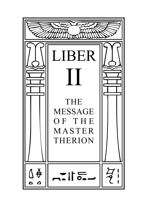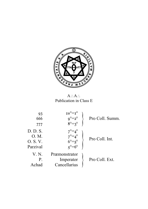

A∴A∴ Publication in Class E

| 93<br>666<br>777                         | $10^{\circ} = T^{\circ}$<br>$9^{\circ}=2^{\circ}$<br>$8^\circ = 3^\circ$  | Pro Coll. Summ. |
|------------------------------------------|---------------------------------------------------------------------------|-----------------|
| D. D. S.<br>O. M.<br>0. S.V.<br>Parzival | $7^{\circ} = 4^{\circ}$<br>$7^{\circ} = 4^{\circ}$<br>$6^\circ = 5^\circ$ | Pro Coll. Int.  |
| V. N.<br>P.<br>Achad                     | Præmonstrator<br>Imperator<br>Cancellarius                                | Pro Coll. Ext.  |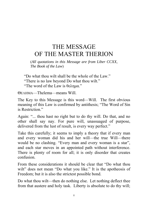## THE MESSAGE OF THE MASTER THERION

(*All quotations in this Message are from Liber CCXX, The Book of the Law*)

"Do what thou wilt shall be the whole of the Law." "There is no law beyond Do what thou wilt." "The word of the Law is θελημα."

ΘΕΛΗΜΑ—Thelema—means Will.

The Key to this Message is this word—Will. The first obvious meaning of this Law is confirmed by antithesis; "The Word of Sin is Restriction.<sup>"</sup>

Again: "... thou hast no right but to do thy will. Do that, and no other shall say nay. For pure will, unassuaged of purpose, delivered from the lust of result, is every way perfect."

Take this carefully; it seems to imply a theory that if every man and every woman did his and her will—the true Will—there would be no clashing. "Every man and every woman is a star", and each star moves in an appointed path without interference. There is plenty of room for all; it is only disorder that creates confusion.

From these considerations it should be clear that "Do what thou wilt" does not mean "Do what you like." It is the apotheosis of Freedom; but it is also the strictest possible bond.

Do what thou wilt—then do nothing else. Let nothing deflect thee from that austere and holy task. Liberty is absolute to do thy will;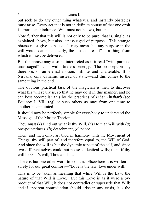but seek to do any other thing whatever, and instantly obstacles must arise. Every act that is not in definite course of that one orbit is erratic, an hindrance. Will must not be two, but one.

Note further that this will is not only to be pure, that is, single, as explained above, but also "unassuaged of purpose". This strange phrase must give us pause. It may mean that any purpose in the will would damp it; clearly, the "lust of result" is a thing from which it must be delivered.

But the phrase may also be interpreted as if it read "with purpose" unassuaged<sup> $n$ </sup>-*i.e.* with tireless energy. The conception is, therefore, of an eternal motion, infinite and unalterable. It is Nirvana, only dynamic instead of static—and this comes to the same thing in the end.

The obvious practical task of the magician is then to discover what his will really is, so that he may do it in this manner, and he can best accomplish this by the practices of *Liber Thisharb* (see Equinox I, VII,  $105$  or such others as may from one time to another be appointed.

It should now be perfectly simple for everybody to understand the Message of the Master Therion.

Thou must (1) Find out what is thy Will, (2) Do that Will with (*a*) one-pointedness, (*b*) detachment, (*c*) peace.

Then, and then only, art thou in harmony with the Movement of Things, thy will part of, and therefore equal to, the Will of God. And since the will is but the dynamic aspect of the self, and since two different selves could not possess identical wills; then, if thy will be God's will, Thou art That.

There is but one other word to explain. Elsewhere it is written surely for our great comfort—"Love is the law, love under will."

This is to be taken as meaning that while Will is the Law, the nature of that Will is Love. But this Love is as it were a byproduct of that Will; it does not contradict or supersede that Will; and if apparent contradiction should arise in any crisis, it is the